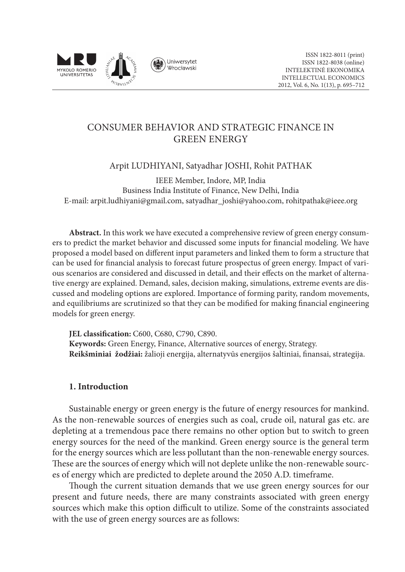

# Consumer Behavior and Strategic Finance in Green Energy

Arpit LUDHIYANI, Satyadhar JOSHI, Rohit PATHAK

IEEE Member, Indore, MP, India Business India Institute of Finance, New Delhi, India E-mail: arpit.ludhiyani@gmail.com, satyadhar\_joshi@yahoo.com, rohitpathak@ieee.org

**Abstract.** In this work we have executed a comprehensive review of green energy consumers to predict the market behavior and discussed some inputs for financial modeling. We have proposed a model based on different input parameters and linked them to form a structure that can be used for financial analysis to forecast future prospectus of green energy. Impact of various scenarios are considered and discussed in detail, and their effects on the market of alternative energy are explained. Demand, sales, decision making, simulations, extreme events are discussed and modeling options are explored. Importance of forming parity, random movements, and equilibriums are scrutinized so that they can be modified for making financial engineering models for green energy.

**JEL classification:** C600, C680, C790, C890. **Keywords:** Green Energy, Finance, Alternative sources of energy, Strategy. **Reikšminiai žodžiai:** žalioji energija, alternatyvūs energijos šaltiniai, finansai, strategija.

## **1. Introduction**

Sustainable energy or green energy is the future of energy resources for mankind. As the non-renewable sources of energies such as coal, crude oil, natural gas etc. are depleting at a tremendous pace there remains no other option but to switch to green energy sources for the need of the mankind. Green energy source is the general term for the energy sources which are less pollutant than the non-renewable energy sources. These are the sources of energy which will not deplete unlike the non-renewable sources of energy which are predicted to deplete around the 2050 A.D. timeframe.

Though the current situation demands that we use green energy sources for our present and future needs, there are many constraints associated with green energy sources which make this option difficult to utilize. Some of the constraints associated with the use of green energy sources are as follows: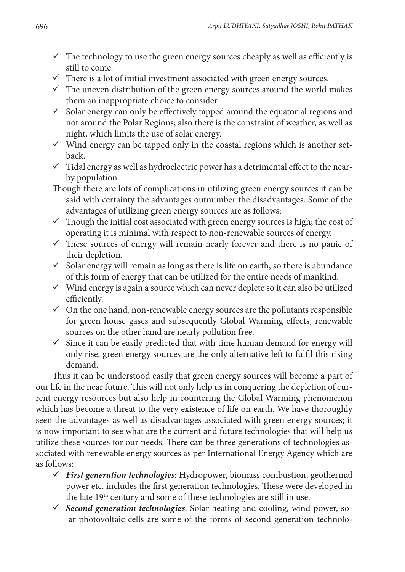- $\checkmark$  The technology to use the green energy sources cheaply as well as efficiently is still to come.
- $\checkmark$  There is a lot of initial investment associated with green energy sources.
- $\checkmark$  The uneven distribution of the green energy sources around the world makes them an inappropriate choice to consider.
- $\checkmark$  Solar energy can only be effectively tapped around the equatorial regions and not around the Polar Regions; also there is the constraint of weather, as well as night, which limits the use of solar energy.
- $\checkmark$  Wind energy can be tapped only in the coastal regions which is another setback.
- $\checkmark$  Tidal energy as well as hydroelectric power has a detrimental effect to the nearby population.
- Though there are lots of complications in utilizing green energy sources it can be said with certainty the advantages outnumber the disadvantages. Some of the advantages of utilizing green energy sources are as follows:
- $\checkmark$  Though the initial cost associated with green energy sources is high; the cost of operating it is minimal with respect to non-renewable sources of energy.
- $\checkmark$  These sources of energy will remain nearly forever and there is no panic of their depletion.
- $\checkmark$  Solar energy will remain as long as there is life on earth, so there is abundance of this form of energy that can be utilized for the entire needs of mankind.
- $\checkmark$  Wind energy is again a source which can never deplete so it can also be utilized efficiently.
- $\checkmark$  On the one hand, non-renewable energy sources are the pollutants responsible for green house gases and subsequently Global Warming effects, renewable sources on the other hand are nearly pollution free.
- $\checkmark$  Since it can be easily predicted that with time human demand for energy will only rise, green energy sources are the only alternative left to fulfil this rising demand.

Thus it can be understood easily that green energy sources will become a part of our life in the near future. This will not only help us in conquering the depletion of current energy resources but also help in countering the Global Warming phenomenon which has become a threat to the very existence of life on earth. We have thoroughly seen the advantages as well as disadvantages associated with green energy sources; it is now important to see what are the current and future technologies that will help us utilize these sources for our needs. There can be three generations of technologies associated with renewable energy sources as per International Energy Agency which are as follows:

- *First generation technologies*: Hydropower, biomass combustion, geothermal power etc. includes the first generation technologies. These were developed in the late 19th century and some of these technologies are still in use.
- *Second generation technologies*: Solar heating and cooling, wind power, solar photovoltaic cells are some of the forms of second generation technolo-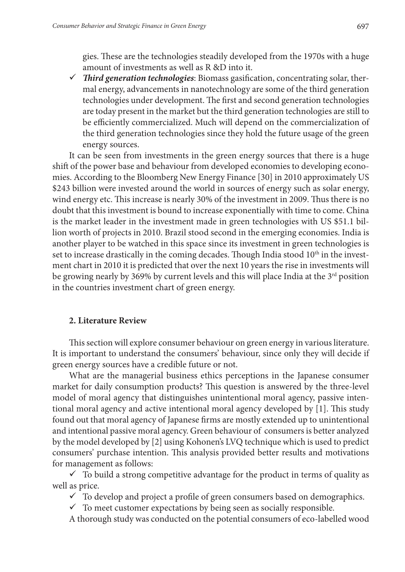gies. These are the technologies steadily developed from the 1970s with a huge amount of investments as well as R &D into it.

 *Third generation technologies*: Biomass gasification, concentrating solar, thermal energy, advancements in nanotechnology are some of the third generation technologies under development. The first and second generation technologies are today present in the market but the third generation technologies are still to be efficiently commercialized. Much will depend on the commercialization of the third generation technologies since they hold the future usage of the green energy sources.

It can be seen from investments in the green energy sources that there is a huge shift of the power base and behaviour from developed economies to developing economies. According to the Bloomberg New Energy Finance [30] in 2010 approximately US \$243 billion were invested around the world in sources of energy such as solar energy, wind energy etc. This increase is nearly 30% of the investment in 2009. Thus there is no doubt that this investment is bound to increase exponentially with time to come. China is the market leader in the investment made in green technologies with US \$51.1 billion worth of projects in 2010. Brazil stood second in the emerging economies. India is another player to be watched in this space since its investment in green technologies is set to increase drastically in the coming decades. Though India stood  $10<sup>th</sup>$  in the investment chart in 2010 it is predicted that over the next 10 years the rise in investments will be growing nearly by 369% by current levels and this will place India at the  $3<sup>rd</sup>$  position in the countries investment chart of green energy.

### **2. Literature Review**

This section will explore consumer behaviour on green energy in various literature. It is important to understand the consumers' behaviour, since only they will decide if green energy sources have a credible future or not.

What are the managerial business ethics perceptions in the Japanese consumer market for daily consumption products? This question is answered by the three-level model of moral agency that distinguishes unintentional moral agency, passive intentional moral agency and active intentional moral agency developed by [1]. This study found out that moral agency of Japanese firms are mostly extended up to unintentional and intentional passive moral agency. Green behaviour of consumers is better analyzed by the model developed by [2] using Kohonen's LVQ technique which is used to predict consumers' purchase intention. This analysis provided better results and motivations for management as follows:

 $\checkmark$  To build a strong competitive advantage for the product in terms of quality as well as price.

- $\checkmark$  To develop and project a profile of green consumers based on demographics.
- $\checkmark$  To meet customer expectations by being seen as socially responsible.

A thorough study was conducted on the potential consumers of eco-labelled wood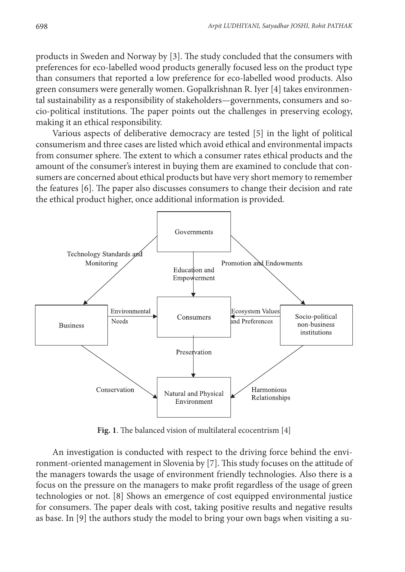products in Sweden and Norway by [3]. The study concluded that the consumers with preferences for eco-labelled wood products generally focused less on the product type than consumers that reported a low preference for eco-labelled wood products. Also green consumers were generally women. Gopalkrishnan R. Iyer [4] takes environmental sustainability as a responsibility of stakeholders—governments, consumers and socio-political institutions. The paper points out the challenges in preserving ecology, making it an ethical responsibility.

Various aspects of deliberative democracy are tested [5] in the light of political consumerism and three cases are listed which avoid ethical and environmental impacts from consumer sphere. The extent to which a consumer rates ethical products and the amount of the consumer's interest in buying them are examined to conclude that consumers are concerned about ethical products but have very short memory to remember the features [6]. The paper also discusses consumers to change their decision and rate the ethical product higher, once additional information is provided.



**Fig. 1**. The balanced vision of multilateral ecocentrism [4]

An investigation is conducted with respect to the driving force behind the environment-oriented management in Slovenia by [7]. This study focuses on the attitude of the managers towards the usage of environment friendly technologies. Also there is a focus on the pressure on the managers to make profit regardless of the usage of green technologies or not. [8] Shows an emergence of cost equipped environmental justice for consumers. The paper deals with cost, taking positive results and negative results as base. In [9] the authors study the model to bring your own bags when visiting a su-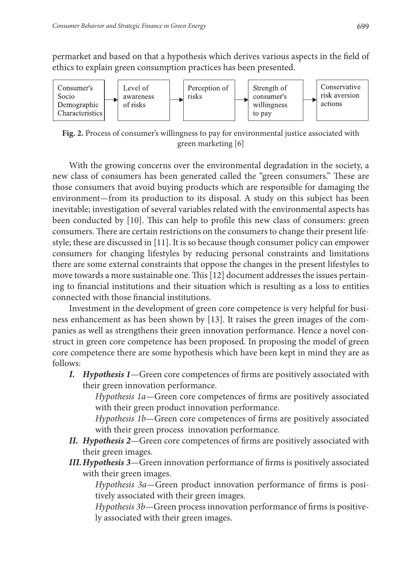permarket and based on that a hypothesis which derives various aspects in the field of ethics to explain green consumption practices has been presented.



**Fig. 2.** Process of consumer's willingness to pay for environmental justice associated with green marketing [6]

With the growing concerns over the environmental degradation in the society, a new class of consumers has been generated called the "green consumers." These are those consumers that avoid buying products which are responsible for damaging the environment—from its production to its disposal. A study on this subject has been inevitable; investigation of several variables related with the environmental aspects has been conducted by [10]. This can help to profile this new class of consumers: green consumers. There are certain restrictions on the consumers to change their present lifestyle; these are discussed in [11]. It is so because though consumer policy can empower consumers for changing lifestyles by reducing personal constraints and limitations there are some external constraints that oppose the changes in the present lifestyles to move towards a more sustainable one. This [12] document addresses the issues pertaining to financial institutions and their situation which is resulting as a loss to entities connected with those financial institutions.

Investment in the development of green core competence is very helpful for business enhancement as has been shown by [13]. It raises the green images of the companies as well as strengthens their green innovation performance. Hence a novel construct in green core competence has been proposed. In proposing the model of green core competence there are some hypothesis which have been kept in mind they are as follows:

*I. Hypothesis 1*—Green core competences of firms are positively associated with their green innovation performance.

*Hypothesis 1a*—Green core competences of firms are positively associated with their green product innovation performance.

*Hypothesis 1b*—Green core competences of firms are positively associated with their green process innovation performance.

- *II. Hypothesis 2*—Green core competences of firms are positively associated with their green images.
- *III.Hypothesis 3*—Green innovation performance of firms is positively associated with their green images.

*Hypothesis 3a*—Green product innovation performance of firms is positively associated with their green images.

*Hypothesis 3b*—Green process innovation performance of firms is positively associated with their green images.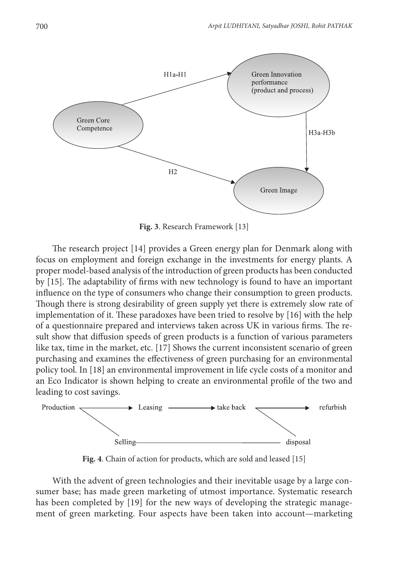

**Fig. 3**. Research Framework [13]

The research project [14] provides a Green energy plan for Denmark along with focus on employment and foreign exchange in the investments for energy plants. A proper model-based analysis of the introduction of green products has been conducted by [15]. The adaptability of firms with new technology is found to have an important influence on the type of consumers who change their consumption to green products. Though there is strong desirability of green supply yet there is extremely slow rate of implementation of it. These paradoxes have been tried to resolve by [16] with the help of a questionnaire prepared and interviews taken across UK in various firms. The result show that diffusion speeds of green products is a function of various parameters like tax, time in the market, etc. [17] Shows the current inconsistent scenario of green purchasing and examines the effectiveness of green purchasing for an environmental policy tool. In [18] an environmental improvement in life cycle costs of a monitor and an Eco Indicator is shown helping to create an environmental profile of the two and leading to cost savings.



**Fig. 4**. Chain of action for products, which are sold and leased [15]

With the advent of green technologies and their inevitable usage by a large consumer base; has made green marketing of utmost importance. Systematic research has been completed by [19] for the new ways of developing the strategic management of green marketing. Four aspects have been taken into account—marketing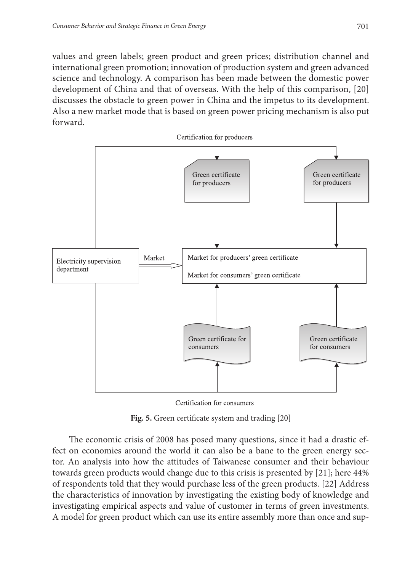values and green labels; green product and green prices; distribution channel and international green promotion; innovation of production system and green advanced science and technology. A comparison has been made between the domestic power development of China and that of overseas. With the help of this comparison, [20] discusses the obstacle to green power in China and the impetus to its development. Also a new market mode that is based on green power pricing mechanism is also put forward.



Certification for consumers

**Fig. 5.** Green certificate system and trading [20]

The economic crisis of 2008 has posed many questions, since it had a drastic effect on economies around the world it can also be a bane to the green energy sector. An analysis into how the attitudes of Taiwanese consumer and their behaviour towards green products would change due to this crisis is presented by [21]; here 44% of respondents told that they would purchase less of the green products. [22] Address the characteristics of innovation by investigating the existing body of knowledge and investigating empirical aspects and value of customer in terms of green investments. A model for green product which can use its entire assembly more than once and sup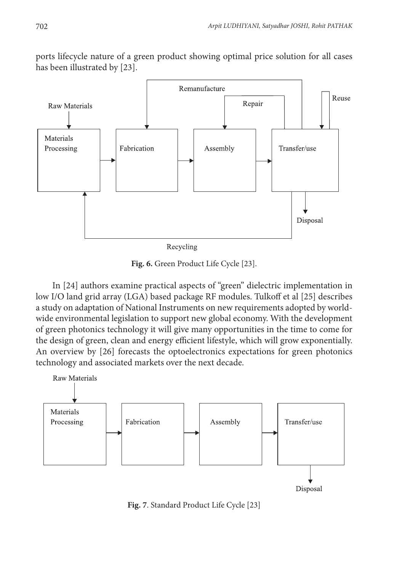ports lifecycle nature of a green product showing optimal price solution for all cases has been illustrated by [23].



**Fig. 6.** Green Product Life Cycle [23].

In [24] authors examine practical aspects of "green" dielectric implementation in low I/O land grid array (LGA) based package RF modules. Tulkoff et al [25] describes a study on adaptation of National Instruments on new requirements adopted by worldwide environmental legislation to support new global economy. With the development of green photonics technology it will give many opportunities in the time to come for the design of green, clean and energy efficient lifestyle, which will grow exponentially. An overview by [26] forecasts the optoelectronics expectations for green photonics technology and associated markets over the next decade.



**Fig. 7**. Standard Product Life Cycle [23]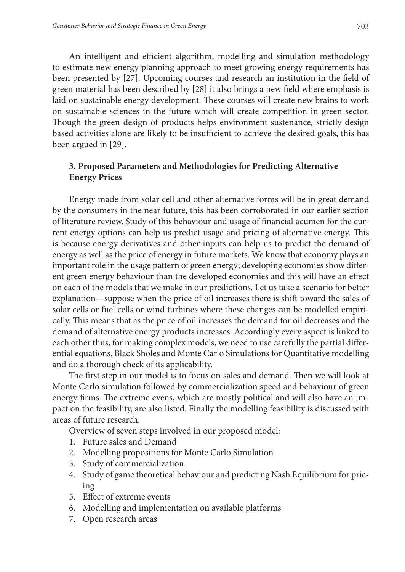An intelligent and efficient algorithm, modelling and simulation methodology to estimate new energy planning approach to meet growing energy requirements has been presented by [27]. Upcoming courses and research an institution in the field of green material has been described by [28] it also brings a new field where emphasis is laid on sustainable energy development. These courses will create new brains to work on sustainable sciences in the future which will create competition in green sector. Though the green design of products helps environment sustenance, strictly design based activities alone are likely to be insufficient to achieve the desired goals, this has been argued in [29].

## **3. Proposed Parameters and Methodologies for Predicting Alternative Energy Prices**

Energy made from solar cell and other alternative forms will be in great demand by the consumers in the near future, this has been corroborated in our earlier section of literature review. Study of this behaviour and usage of financial acumen for the current energy options can help us predict usage and pricing of alternative energy. This is because energy derivatives and other inputs can help us to predict the demand of energy as well as the price of energy in future markets. We know that economy plays an important role in the usage pattern of green energy; developing economies show different green energy behaviour than the developed economies and this will have an effect on each of the models that we make in our predictions. Let us take a scenario for better explanation—suppose when the price of oil increases there is shift toward the sales of solar cells or fuel cells or wind turbines where these changes can be modelled empirically. This means that as the price of oil increases the demand for oil decreases and the demand of alternative energy products increases. Accordingly every aspect is linked to each other thus, for making complex models, we need to use carefully the partial differential equations, Black Sholes and Monte Carlo Simulations for Quantitative modelling and do a thorough check of its applicability.

The first step in our model is to focus on sales and demand. Then we will look at Monte Carlo simulation followed by commercialization speed and behaviour of green energy firms. The extreme evens, which are mostly political and will also have an impact on the feasibility, are also listed. Finally the modelling feasibility is discussed with areas of future research.

Overview of seven steps involved in our proposed model:

- 1. Future sales and Demand
- 2. Modelling propositions for Monte Carlo Simulation
- 3. Study of commercialization
- 4. Study of game theoretical behaviour and predicting Nash Equilibrium for pricing
- 5. Effect of extreme events
- 6. Modelling and implementation on available platforms
- 7. Open research areas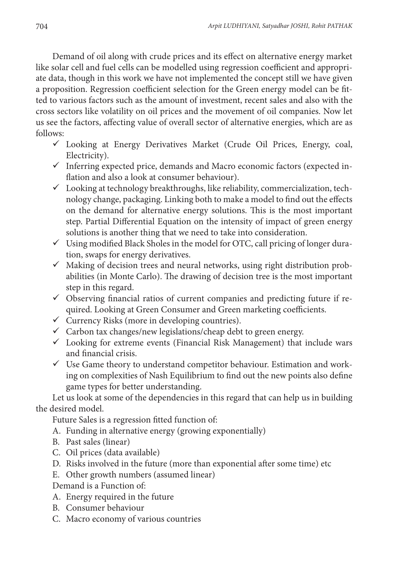Demand of oil along with crude prices and its effect on alternative energy market like solar cell and fuel cells can be modelled using regression coefficient and appropriate data, though in this work we have not implemented the concept still we have given a proposition. Regression coefficient selection for the Green energy model can be fitted to various factors such as the amount of investment, recent sales and also with the cross sectors like volatility on oil prices and the movement of oil companies. Now let us see the factors, affecting value of overall sector of alternative energies, which are as follows:

- Looking at Energy Derivatives Market (Crude Oil Prices, Energy, coal, Electricity).
- $\checkmark$  Inferring expected price, demands and Macro economic factors (expected inflation and also a look at consumer behaviour).
- $\checkmark$  Looking at technology breakthroughs, like reliability, commercialization, technology change, packaging. Linking both to make a model to find out the effects on the demand for alternative energy solutions. This is the most important step. Partial Differential Equation on the intensity of impact of green energy solutions is another thing that we need to take into consideration.
- $\checkmark$  Using modified Black Sholes in the model for OTC, call pricing of longer duration, swaps for energy derivatives.
- $\checkmark$  Making of decision trees and neural networks, using right distribution probabilities (in Monte Carlo). The drawing of decision tree is the most important step in this regard.
- $\checkmark$  Observing financial ratios of current companies and predicting future if required. Looking at Green Consumer and Green marketing coefficients.
- $\checkmark$  Currency Risks (more in developing countries).
- $\checkmark$  Carbon tax changes/new legislations/cheap debt to green energy.
- $\checkmark$  Looking for extreme events (Financial Risk Management) that include wars and financial crisis.
- $\checkmark$  Use Game theory to understand competitor behaviour. Estimation and working on complexities of Nash Equilibrium to find out the new points also define game types for better understanding.

Let us look at some of the dependencies in this regard that can help us in building the desired model.

Future Sales is a regression fitted function of:

- A. Funding in alternative energy (growing exponentially)
- B. Past sales (linear)
- C. Oil prices (data available)
- D. Risks involved in the future (more than exponential after some time) etc
- E. Other growth numbers (assumed linear)
- Demand is a Function of:
- A. Energy required in the future
- B. Consumer behaviour
- C. Macro economy of various countries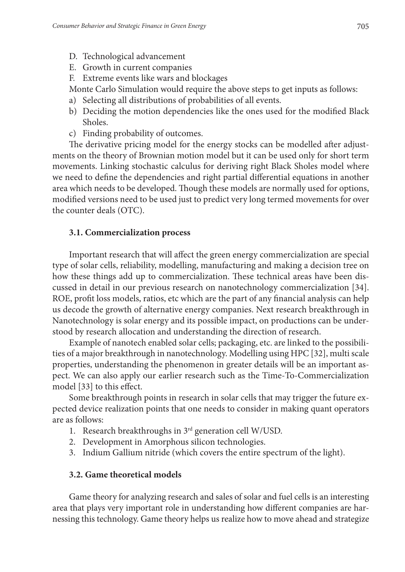- D. Technological advancement
- E. Growth in current companies
- F. Extreme events like wars and blockages

Monte Carlo Simulation would require the above steps to get inputs as follows:

- a) Selecting all distributions of probabilities of all events.
- b) Deciding the motion dependencies like the ones used for the modified Black Sholes.
- c) Finding probability of outcomes.

The derivative pricing model for the energy stocks can be modelled after adjustments on the theory of Brownian motion model but it can be used only for short term movements. Linking stochastic calculus for deriving right Black Sholes model where we need to define the dependencies and right partial differential equations in another area which needs to be developed. Though these models are normally used for options, modified versions need to be used just to predict very long termed movements for over the counter deals (OTC).

## **3.1. Commercialization process**

Important research that will affect the green energy commercialization are special type of solar cells, reliability, modelling, manufacturing and making a decision tree on how these things add up to commercialization. These technical areas have been discussed in detail in our previous research on nanotechnology commercialization [34]. ROE, profit loss models, ratios, etc which are the part of any financial analysis can help us decode the growth of alternative energy companies. Next research breakthrough in Nanotechnology is solar energy and its possible impact, on productions can be understood by research allocation and understanding the direction of research.

Example of nanotech enabled solar cells; packaging, etc. are linked to the possibilities of a major breakthrough in nanotechnology. Modelling using HPC [32], multi scale properties, understanding the phenomenon in greater details will be an important aspect. We can also apply our earlier research such as the Time-To-Commercialization model [33] to this effect.

Some breakthrough points in research in solar cells that may trigger the future expected device realization points that one needs to consider in making quant operators are as follows:

- 1. Research breakthroughs in 3rd generation cell W/USD.
- 2. Development in Amorphous silicon technologies.
- 3. Indium Gallium nitride (which covers the entire spectrum of the light).

# **3.2. Game theoretical models**

Game theory for analyzing research and sales of solar and fuel cells is an interesting area that plays very important role in understanding how different companies are harnessing this technology. Game theory helps us realize how to move ahead and strategize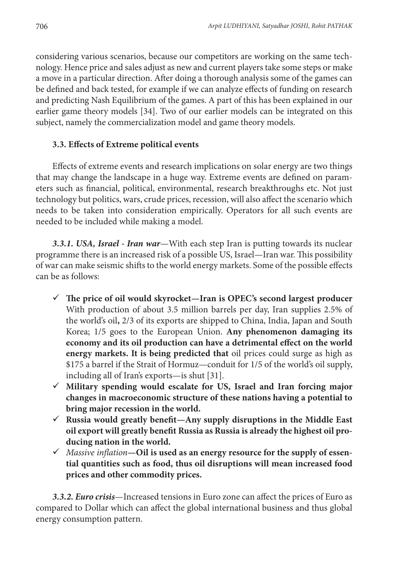considering various scenarios, because our competitors are working on the same technology. Hence price and sales adjust as new and current players take some steps or make a move in a particular direction. After doing a thorough analysis some of the games can be defined and back tested, for example if we can analyze effects of funding on research and predicting Nash Equilibrium of the games. A part of this has been explained in our earlier game theory models [34]. Two of our earlier models can be integrated on this subject, namely the commercialization model and game theory models.

## **3.3. Effects of Extreme political events**

Effects of extreme events and research implications on solar energy are two things that may change the landscape in a huge way. Extreme events are defined on parameters such as financial, political, environmental, research breakthroughs etc. Not just technology but politics, wars, crude prices, recession, will also affect the scenario which needs to be taken into consideration empirically. Operators for all such events are needed to be included while making a model.

*3.3.1. USA, Israel - Iran war*—With each step Iran is putting towards its nuclear programme there is an increased risk of a possible US, Israel—Iran war. This possibility of war can make seismic shifts to the world energy markets. Some of the possible effects can be as follows:

- **The price of oil would skyrocket—Iran is OPEC's second largest producer**  With production of about 3.5 million barrels per day, Iran supplies 2.5% of the world's oil**,** 2/3 of its exports are shipped to China, India, Japan and South Korea; 1/5 goes to the European Union. **Any phenomenon damaging its economy and its oil production can have a detrimental effect on the world energy markets. It is being predicted that** oil prices could surge as high as \$175 a barrel if the Strait of Hormuz—conduit for 1/5 of the world's oil supply, including all of Iran's exports—is shut [31].
- **Military spending would escalate for US, Israel and Iran forcing major changes in macroeconomic structure of these nations having a potential to bring major recession in the world.**
- **Russia would greatly benefit—Any supply disruptions in the Middle East oil export will greatly benefit Russia as Russia is already the highest oil producing nation in the world.**
- *Massive inflation***—Oil is used as an energy resource for the supply of essential quantities such as food, thus oil disruptions will mean increased food prices and other commodity prices.**

*3.3.2. Euro crisis*—Increased tensions in Euro zone can affect the prices of Euro as compared to Dollar which can affect the global international business and thus global energy consumption pattern.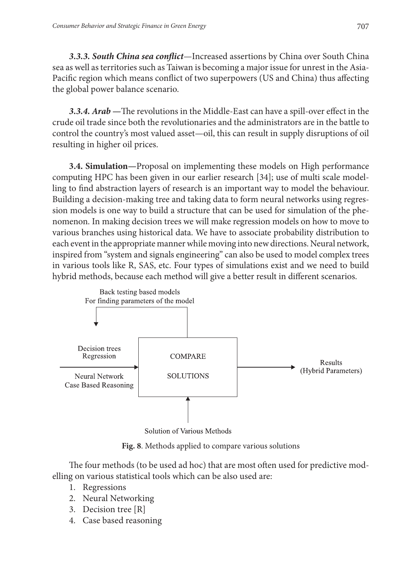*3.3.3. South China sea conflict*—Increased assertions by China over South China sea as well as territories such as Taiwan is becoming a major issue for unrest in the Asia-Pacific region which means conflict of two superpowers (US and China) thus affecting the global power balance scenario.

*3.3.4. Arab —*The revolutions in the Middle-East can have a spill-over effect in the crude oil trade since both the revolutionaries and the administrators are in the battle to control the country's most valued asset—oil, this can result in supply disruptions of oil resulting in higher oil prices.

**3.4. Simulation***—*Proposal on implementing these models on High performance computing HPC has been given in our earlier research [34]; use of multi scale modelling to find abstraction layers of research is an important way to model the behaviour. Building a decision-making tree and taking data to form neural networks using regression models is one way to build a structure that can be used for simulation of the phenomenon. In making decision trees we will make regression models on how to move to various branches using historical data. We have to associate probability distribution to each event in the appropriate manner while moving into new directions. Neural network, inspired from "system and signals engineering" can also be used to model complex trees in various tools like R, SAS, etc. Four types of simulations exist and we need to build hybrid methods, because each method will give a better result in different scenarios.



Solution of Various Methods

**Fig. 8**. Methods applied to compare various solutions

The four methods (to be used ad hoc) that are most often used for predictive modelling on various statistical tools which can be also used are:

- 1. Regressions
- 2. Neural Networking
- 3. Decision tree [R]
- 4. Case based reasoning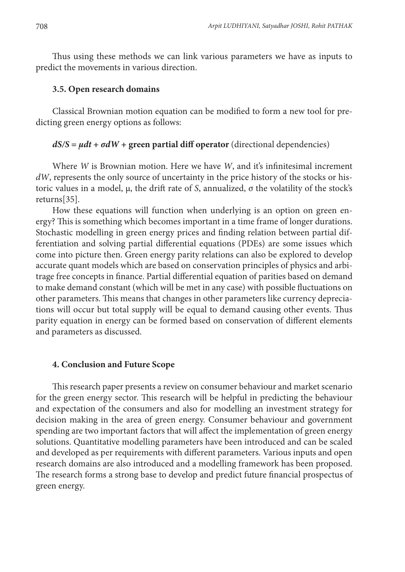Thus using these methods we can link various parameters we have as inputs to predict the movements in various direction.

#### **3.5. Open research domains**

Classical Brownian motion equation can be modified to form a new tool for predicting green energy options as follows:

#### $dS/S = \mu dt + \sigma dW +$  green partial diff operator (directional dependencies)

Where *W* is Brownian motion. Here we have *W*, and it's infinitesimal increment *dW*, represents the only source of uncertainty in the price history of the stocks or historic values in a model, μ, the drift rate of *S*, annualized, σ the volatility of the stock's returns[35].

How these equations will function when underlying is an option on green energy? This is something which becomes important in a time frame of longer durations. Stochastic modelling in green energy prices and finding relation between partial differentiation and solving partial differential equations (PDEs) are some issues which come into picture then. Green energy parity relations can also be explored to develop accurate quant models which are based on conservation principles of physics and arbitrage free concepts in finance. Partial differential equation of parities based on demand to make demand constant (which will be met in any case) with possible fluctuations on other parameters. This means that changes in other parameters like currency depreciations will occur but total supply will be equal to demand causing other events. Thus parity equation in energy can be formed based on conservation of different elements and parameters as discussed.

#### **4. Conclusion and Future Scope**

This research paper presents a review on consumer behaviour and market scenario for the green energy sector. This research will be helpful in predicting the behaviour and expectation of the consumers and also for modelling an investment strategy for decision making in the area of green energy. Consumer behaviour and government spending are two important factors that will affect the implementation of green energy solutions. Quantitative modelling parameters have been introduced and can be scaled and developed as per requirements with different parameters. Various inputs and open research domains are also introduced and a modelling framework has been proposed. The research forms a strong base to develop and predict future financial prospectus of green energy.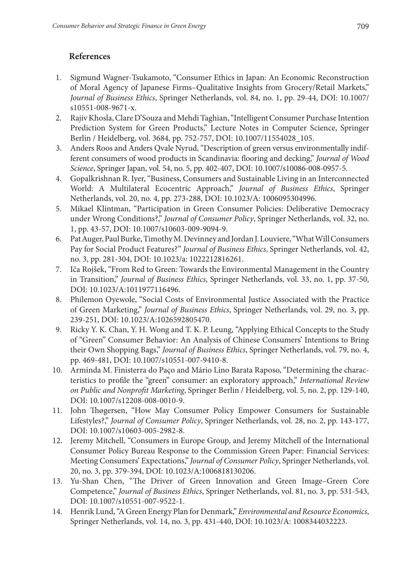## **References**

- 1. Sigmund Wagner-Tsukamoto, "Consumer Ethics in Japan: An Economic Reconstruction of Moral Agency of Japanese Firms–Qualitative Insights from Grocery/Retail Markets," *Journal of Business Ethics*, Springer Netherlands, vol. 84, no. 1, pp. 29-44, DOI: 10.1007/ s10551-008-9671-x.
- 2. Rajiv Khosla, Clare D'Souza and Mehdi Taghian, "Intelligent Consumer Purchase Intention Prediction System for Green Products," Lecture Notes in Computer Science, Springer Berlin / Heidelberg, vol. 3684, pp. 752-757, DOI: 10.1007/11554028\_105.
- 3. Anders Roos and Anders Qvale Nyrud, "Description of green versus environmentally indifferent consumers of wood products in Scandinavia: flooring and decking," *Journal of Wood Science*, Springer Japan, vol. 54, no. 5, pp. 402-407, DOI: 10.1007/s10086-008-0957-5.
- 4. Gopalkrishnan R. Iyer, "Business, Consumers and Sustainable Living in an Interconnected World: A Multilateral Ecocentric Approach," *Journal of Business Ethics*, Springer Netherlands, vol. 20, no. 4, pp. 273-288, DOI: 10.1023/A: 1006095304996.
- 5. Mikael Klintman, "Participation in Green Consumer Policies: Deliberative Democracy under Wrong Conditions?," *Journal of Consumer Policy*, Springer Netherlands, vol. 32, no. 1, pp. 43-57, DOI: 10.1007/s10603-009-9094-9.
- 6. Pat Auger, Paul Burke, Timothy M. Devinney and Jordan J. Louviere, "What Will Consumers Pay for Social Product Features?" *Journal of Business Ethics*, Springer Netherlands, vol. 42, no. 3, pp. 281-304, DOI: 10.1023/a: 1022212816261.
- 7. Iča Rojšek, "From Red to Green: Towards the Environmental Management in the Country in Transition," *Journal of Business Ethics*, Springer Netherlands, vol. 33, no. 1, pp. 37-50, DOI: 10.1023/A:1011977116496.
- 8. Philemon Oyewole, "Social Costs of Environmental Justice Associated with the Practice of Green Marketing," *Journal of Business Ethics*, Springer Netherlands, vol. 29, no. 3, pp. 239-251, DOI: 10.1023/A:1026592805470.
- 9. Ricky Y. K. Chan, Y. H. Wong and T. K. P. Leung, "Applying Ethical Concepts to the Study of "Green" Consumer Behavior: An Analysis of Chinese Consumers' Intentions to Bring their Own Shopping Bags," *Journal of Business Ethics*, Springer Netherlands, vol. 79, no. 4, pp. 469-481, DOI: 10.1007/s10551-007-9410-8.
- 10. Arminda M. Finisterra do Paço and Mário Lino Barata Raposo, "Determining the characteristics to profile the "green" consumer: an exploratory approach," *International Review on Public and Nonprofit Marketing*, Springer Berlin / Heidelberg, vol. 5, no. 2, pp. 129-140, DOI: 10.1007/s12208-008-0010-9.
- 11. John Thøgersen, "How May Consumer Policy Empower Consumers for Sustainable Lifestyles?," *Journal of Consumer Policy*, Springer Netherlands, vol. 28, no. 2, pp. 143-177, DOI: 10.1007/s10603-005-2982-8.
- 12. Jeremy Mitchell, "Consumers in Europe Group, and Jeremy Mitchell of the International Consumer Policy Bureau Response to the Commission Green Paper: Financial Services: Meeting Consumers' Expectations," *Journal of Consumer Policy*, Springer Netherlands, vol. 20, no. 3, pp. 379-394, DOI: 10.1023/A:1006818130206.
- 13. Yu-Shan Chen, "The Driver of Green Innovation and Green Image–Green Core Competence," *Journal of Business Ethics*, Springer Netherlands, vol. 81, no. 3, pp. 531-543, DOI: 10.1007/s10551-007-9522-1.
- 14. Henrik Lund, "A Green Energy Plan for Denmark," *Environmental and Resource Economics*, Springer Netherlands, vol. 14, no. 3, pp. 431-440, DOI: 10.1023/A: 1008344032223.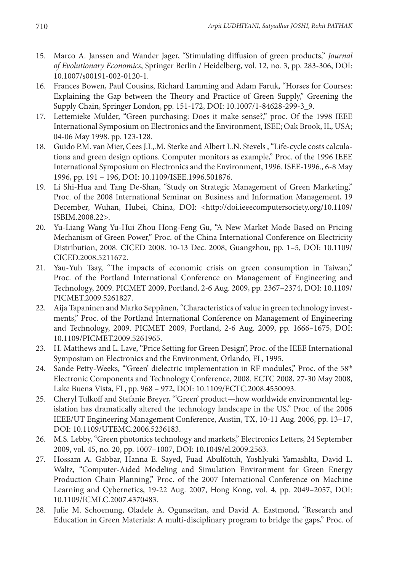- 15. Marco A. Janssen and Wander Jager, "Stimulating diffusion of green products," *Journal of Evolutionary Economics*, Springer Berlin / Heidelberg, vol. 12, no. 3, pp. 283-306, DOI: 10.1007/s00191-002-0120-1.
- 16. Frances Bowen, Paul Cousins, Richard Lamming and Adam Faruk, "Horses for Courses: Explaining the Gap between the Theory and Practice of Green Supply," Greening the Supply Chain, Springer London, pp. 151-172, DOI: 10.1007/1-84628-299-3\_9.
- 17. Lettemieke Mulder, "Green purchasing: Does it make sense?," proc. Of the 1998 IEEE International Symposium on Electronics and the Environment, ISEE; Oak Brook, IL, USA; 04-06 May 1998. pp. 123-128.
- 18. Guido P.M. van Mier, Cees J.L,.M. Sterke and Albert L.N. Stevels , "Life-cycle costs calculations and green design options. Computer monitors as example," Proc. of the 1996 IEEE International Symposium on Electronics and the Environment, 1996. ISEE-1996., 6-8 May 1996, pp. 191 – 196, DOI: 10.1109/ISEE.1996.501876.
- 19. Li Shi-Hua and Tang De-Shan, "Study on Strategic Management of Green Marketing," Proc. of the 2008 International Seminar on Business and Information Management, 19 December, Wuhan, Hubei, China, DOI: <http://doi.ieeecomputersociety.org/10.1109/ ISBIM.2008.22>.
- 20. Yu-Liang Wang Yu-Hui Zhou Hong-Feng Gu, "A New Market Mode Based on Pricing Mechanism of Green Power," Proc. of the China International Conference on Electricity Distribution, 2008. CICED 2008. 10-13 Dec. 2008, Guangzhou, pp. 1–5, DOI: 10.1109/ CICED.2008.5211672.
- 21. Yau-Yuh Tsay, "The impacts of economic crisis on green consumption in Taiwan," Proc. of the Portland International Conference on Management of Engineering and Technology, 2009. PICMET 2009, Portland, 2-6 Aug. 2009, pp. 2367–2374, DOI: 10.1109/ PICMET.2009.5261827.
- 22. Aija Tapaninen and Marko Seppänen, "Characteristics of value in green technology investments," Proc. of the Portland International Conference on Management of Engineering and Technology, 2009. PICMET 2009, Portland, 2-6 Aug. 2009, pp. 1666–1675, DOI: 10.1109/PICMET.2009.5261965.
- 23. H. Matthews and L. Lave, "Price Setting for Green Design", Proc. of the IEEE International Symposium on Electronics and the Environment, Orlando, FL, 1995.
- 24. Sande Petty-Weeks, "'Green' dielectric implementation in RF modules," Proc. of the 58<sup>th</sup> Electronic Components and Technology Conference, 2008. ECTC 2008, 27-30 May 2008, Lake Buena Vista, FL, pp. 968 – 972, DOI: 10.1109/ECTC.2008.4550093.
- 25. Cheryl Tulkoff and Stefanie Breyer, "'Green' product—how worldwide environmental legislation has dramatically altered the technology landscape in the US," Proc. of the 2006 IEEE/UT Engineering Management Conference, Austin, TX, 10-11 Aug. 2006, pp. 13–17, DOI: 10.1109/UTEMC.2006.5236183.
- 26. M.S. Lebby, "Green photonics technology and markets," Electronics Letters, 24 September 2009, vol. 45, no. 20, pp. 1007–1007, DOI: 10.1049/el.2009.2563.
- 27. Hossam A. Gabbar, Hanna E. Sayed, Fuad Abulfotuh, Yoshlyuki Yamashlta, David L. Waltz, "Computer-Aided Modeling and Simulation Environment for Green Energy Production Chain Planning," Proc. of the 2007 International Conference on Machine Learning and Cybernetics, 19-22 Aug. 2007, Hong Kong, vol. 4, pp. 2049–2057, DOI: 10.1109/ICMLC.2007.4370483.
- 28. Julie M. Schoenung, Oladele A. Ogunseitan, and David A. Eastmond, "Research and Education in Green Materials: A multi-disciplinary program to bridge the gaps," Proc. of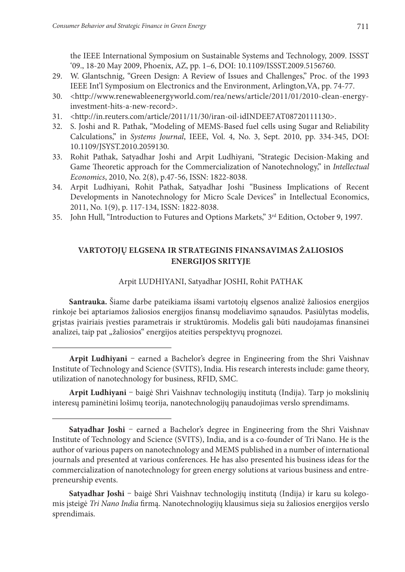the IEEE International Symposium on Sustainable Systems and Technology, 2009. ISSST '09., 18-20 May 2009, Phoenix, AZ, pp. 1–6, DOI: 10.1109/ISSST.2009.5156760.

- 29. W. Glantschnig, "Green Design: A Review of Issues and Challenges," Proc. of the 1993 IEEE Int'l Symposium on Electronics and the Environment, Arlington,VA, pp. 74-77.
- 30. <http://www.renewableenergyworld.com/rea/news/article/2011/01/2010-clean-energyinvestment-hits-a-new-record>.
- 31. <http://in.reuters.com/article/2011/11/30/iran-oil-idINDEE7AT08720111130>.
- 32. S. Joshi and R. Pathak, "Modeling of MEMS-Based fuel cells using Sugar and Reliability Calculations," in *Systems Journal*, IEEE, Vol. 4, No. 3, Sept. 2010, pp. 334-345, DOI: 10.1109/JSYST.2010.2059130.
- 33. Rohit Pathak, Satyadhar Joshi and Arpit Ludhiyani, "Strategic Decision-Making and Game Theoretic approach for the Commercialization of Nanotechnology," in *Intellectual Economics*, 2010, No. 2(8), p.47-56, ISSN: 1822-8038.
- 34. Arpit Ludhiyani, Rohit Pathak, Satyadhar Joshi "Business Implications of Recent Developments in Nanotechnology for Micro Scale Devices" in Intellectual Economics, 2011, No. 1(9), p. 117-134, ISSN: 1822-8038.
- 35. John Hull, "Introduction to Futures and Options Markets," 3<sup>rd</sup> Edition, October 9, 1997.

### **VARTOTOJŲ ELGSENA IR STRATEGINIS FINANSAVIMAS ŽALIOSIOS ENERGIJOS SRITYJE**

### Arpit LUDHIYANI, Satyadhar JOSHI, Rohit PATHAK

**Santrauka.** Šiame darbe pateikiama išsami vartotojų elgsenos analizė žaliosios energijos rinkoje bei aptariamos žaliosios energijos finansų modeliavimo sąnaudos. Pasiūlytas modelis, grįstas įvairiais įvesties parametrais ir struktūromis. Modelis gali būti naudojamas finansinei analizei, taip pat "žaliosios" energijos ateities perspektyvų prognozei.

**Arpit Ludhiyani** – earned a Bachelor's degree in Engineering from the Shri Vaishnav Institute of Technology and Science (SVITS), India. His research interests include: game theory, utilization of nanotechnology for business, RFID, SMC.

**Arpit Ludhiyani** – baigė Shri Vaishnav technologijų institutą (Indija). Tarp jo mokslinių interesų paminėtini lošimų teorija, nanotechnologijų panaudojimas verslo sprendimams.

**Satyadhar Joshi** – baigė Shri Vaishnav technologijų institutą (Indija) ir karu su kolegomis įsteigė *Tri Nano India* firmą. Nanotechnologijų klausimus sieja su žaliosios energijos verslo sprendimais.

**Satyadhar Joshi** – earned a Bachelor's degree in Engineering from the Shri Vaishnav Institute of Technology and Science (SVITS), India, and is a co-founder of Tri Nano. He is the author of various papers on nanotechnology and MEMS published in a number of international journals and presented at various conferences. He has also presented his business ideas for the commercialization of nanotechnology for green energy solutions at various business and entrepreneurship events.